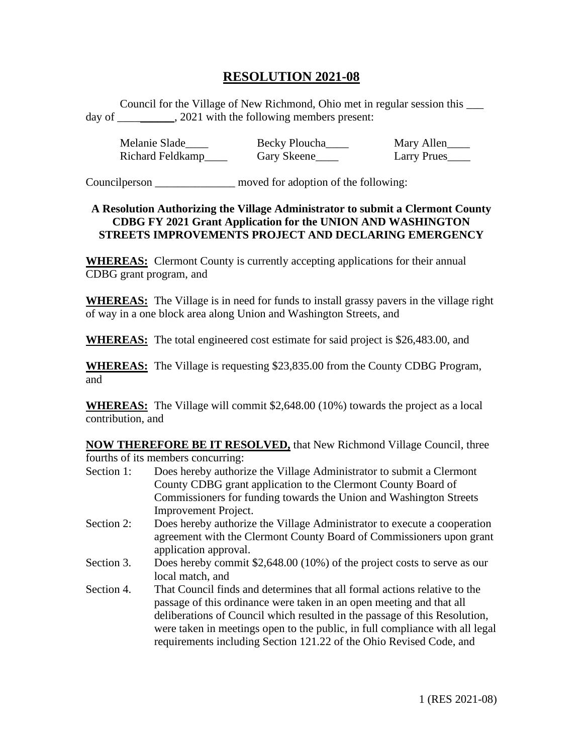## **RESOLUTION 2021-08**

Council for the Village of New Richmond, Ohio met in regular session this \_\_\_ day of  $\qquad \qquad$ , 2021 with the following members present:

Melanie Slade\_\_\_\_\_ Becky Ploucha\_\_\_\_ Mary Allen\_\_\_\_ Richard Feldkamp\_\_\_\_\_ Gary Skeene\_\_\_\_ Larry Prues\_\_\_\_

Councilperson \_\_\_\_\_\_\_\_\_\_\_\_\_\_ moved for adoption of the following:

## **A Resolution Authorizing the Village Administrator to submit a Clermont County CDBG FY 2021 Grant Application for the UNION AND WASHINGTON STREETS IMPROVEMENTS PROJECT AND DECLARING EMERGENCY**

**WHEREAS:** Clermont County is currently accepting applications for their annual CDBG grant program, and

**WHEREAS:** The Village is in need for funds to install grassy pavers in the village right of way in a one block area along Union and Washington Streets, and

**WHEREAS:** The total engineered cost estimate for said project is \$26,483.00, and

**WHEREAS:** The Village is requesting \$23,835.00 from the County CDBG Program, and

**WHEREAS:** The Village will commit \$2,648.00 (10%) towards the project as a local contribution, and

**NOW THEREFORE BE IT RESOLVED,** that New Richmond Village Council, three fourths of its members concurring:

- Section 1: Does hereby authorize the Village Administrator to submit a Clermont County CDBG grant application to the Clermont County Board of Commissioners for funding towards the Union and Washington Streets Improvement Project.
- Section 2: Does hereby authorize the Village Administrator to execute a cooperation agreement with the Clermont County Board of Commissioners upon grant application approval.
- Section 3. Does hereby commit \$2,648.00 (10%) of the project costs to serve as our local match, and
- Section 4. That Council finds and determines that all formal actions relative to the passage of this ordinance were taken in an open meeting and that all deliberations of Council which resulted in the passage of this Resolution, were taken in meetings open to the public, in full compliance with all legal requirements including Section 121.22 of the Ohio Revised Code, and